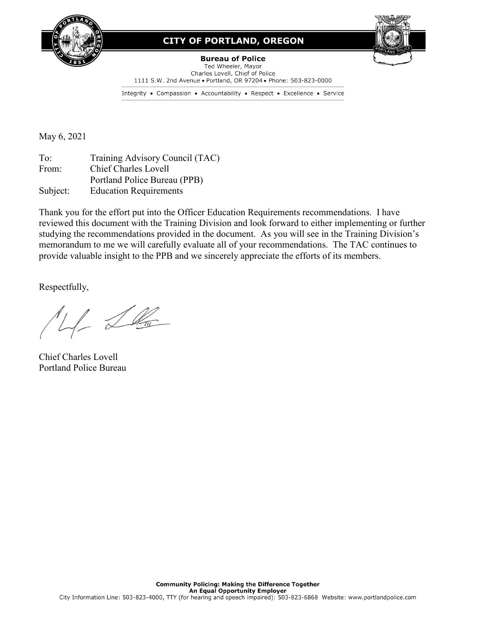

# **CITY OF PORTLAND, OREGON**



**Bureau of Police** Ted Wheeler, Mayor Charles Lovell, Chief of Police 1111 S.W. 2nd Avenue . Portland, OR 97204 . Phone: 503-823-0000

Integrity • Compassion • Accountability • Respect • Excellence • Service

May 6, 2021

To: Training Advisory Council (TAC) From: Chief Charles Lovell Portland Police Bureau (PPB) Subject: Education Requirements

Thank you for the effort put into the Officer Education Requirements recommendations. I have reviewed this document with the Training Division and look forward to either implementing or further studying the recommendations provided in the document. As you will see in the Training Division's memorandum to me we will carefully evaluate all of your recommendations. The TAC continues to provide valuable insight to the PPB and we sincerely appreciate the efforts of its members.

Respectfully,

LL Lla

Chief Charles Lovell Portland Police Bureau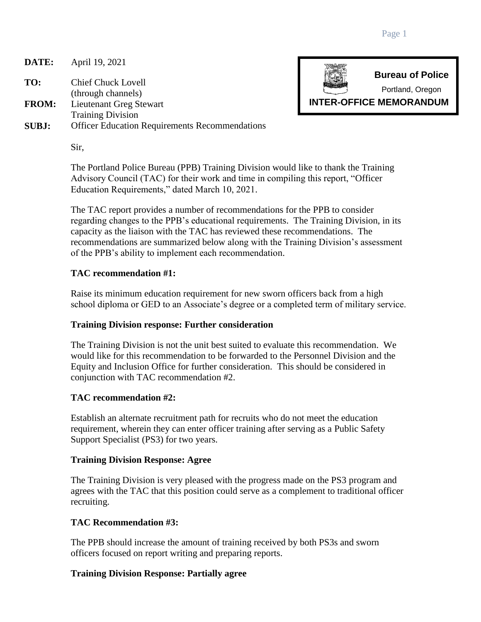**DATE:** April 19, 2021

**TO:** Chief Chuck Lovell (through channels)

**FROM:** Lieutenant Greg Stewart

Training Division

**SUBJ:** Officer Education Requirements Recommendations

Sir,

The Portland Police Bureau (PPB) Training Division would like to thank the Training Advisory Council (TAC) for their work and time in compiling this report, "Officer Education Requirements," dated March 10, 2021.

The TAC report provides a number of recommendations for the PPB to consider regarding changes to the PPB's educational requirements. The Training Division, in its capacity as the liaison with the TAC has reviewed these recommendations. The recommendations are summarized below along with the Training Division's assessment of the PPB's ability to implement each recommendation.

# **TAC recommendation #1:**

Raise its minimum education requirement for new sworn officers back from a high school diploma or GED to an Associate's degree or a completed term of military service.

## **Training Division response: Further consideration**

The Training Division is not the unit best suited to evaluate this recommendation. We would like for this recommendation to be forwarded to the Personnel Division and the Equity and Inclusion Office for further consideration. This should be considered in conjunction with TAC recommendation #2.

## **TAC recommendation #2:**

Establish an alternate recruitment path for recruits who do not meet the education requirement, wherein they can enter officer training after serving as a Public Safety Support Specialist (PS3) for two years.

# **Training Division Response: Agree**

The Training Division is very pleased with the progress made on the PS3 program and agrees with the TAC that this position could serve as a complement to traditional officer recruiting.

# **TAC Recommendation #3:**

The PPB should increase the amount of training received by both PS3s and sworn officers focused on report writing and preparing reports.

# **Training Division Response: Partially agree**

**Bureau of Police** Portland, Oregon

**INTER-OFFICE MEMORANDUM**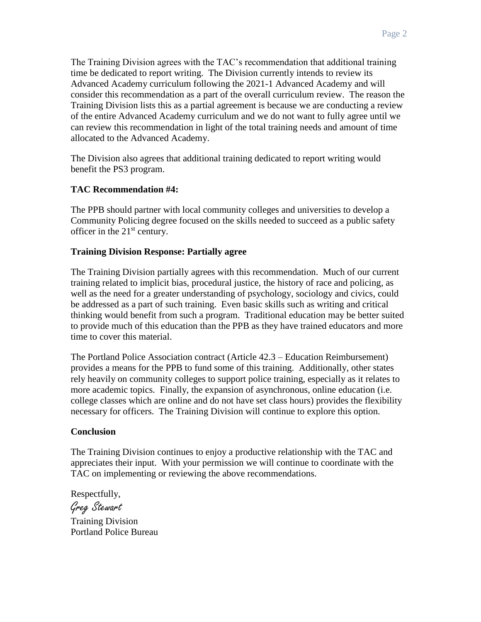The Training Division agrees with the TAC's recommendation that additional training time be dedicated to report writing. The Division currently intends to review its Advanced Academy curriculum following the 2021-1 Advanced Academy and will consider this recommendation as a part of the overall curriculum review. The reason the Training Division lists this as a partial agreement is because we are conducting a review of the entire Advanced Academy curriculum and we do not want to fully agree until we can review this recommendation in light of the total training needs and amount of time allocated to the Advanced Academy.

The Division also agrees that additional training dedicated to report writing would benefit the PS3 program.

## **TAC Recommendation #4:**

The PPB should partner with local community colleges and universities to develop a Community Policing degree focused on the skills needed to succeed as a public safety officer in the  $21<sup>st</sup>$  century.

## **Training Division Response: Partially agree**

The Training Division partially agrees with this recommendation. Much of our current training related to implicit bias, procedural justice, the history of race and policing, as well as the need for a greater understanding of psychology, sociology and civics, could be addressed as a part of such training. Even basic skills such as writing and critical thinking would benefit from such a program. Traditional education may be better suited to provide much of this education than the PPB as they have trained educators and more time to cover this material.

The Portland Police Association contract (Article 42.3 – Education Reimbursement) provides a means for the PPB to fund some of this training. Additionally, other states rely heavily on community colleges to support police training, especially as it relates to more academic topics. Finally, the expansion of asynchronous, online education (i.e. college classes which are online and do not have set class hours) provides the flexibility necessary for officers. The Training Division will continue to explore this option.

## **Conclusion**

The Training Division continues to enjoy a productive relationship with the TAC and appreciates their input. With your permission we will continue to coordinate with the TAC on implementing or reviewing the above recommendations.

Respectfully, Greg Stewart Training Division Portland Police Bureau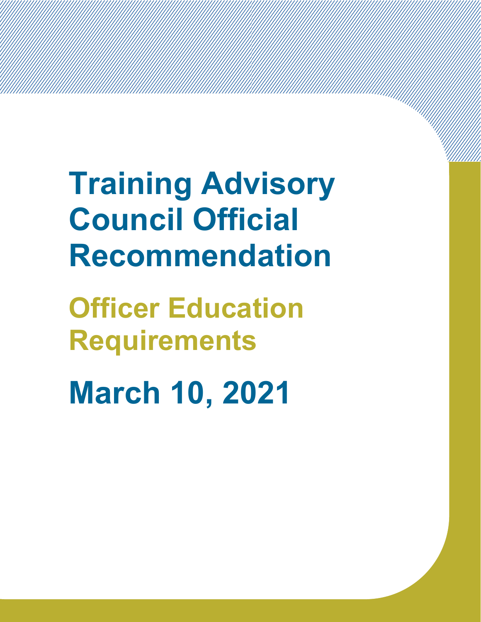**Training Advisory Council Official Recommendation**

**Officer Education Requirements**

**March 10, 2021**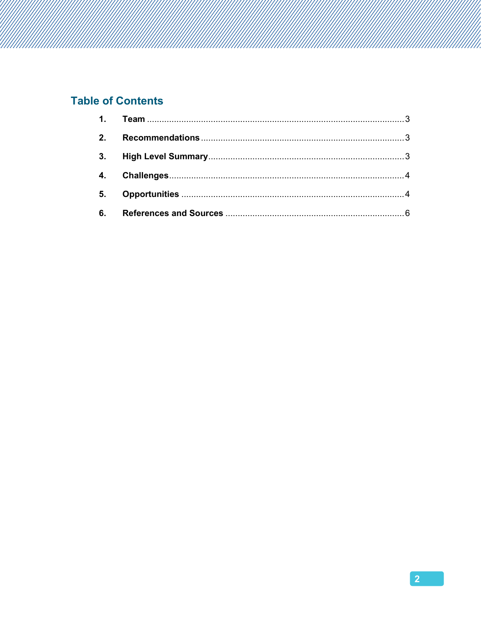# **Table of Contents**

| 5. |  |
|----|--|
| 6. |  |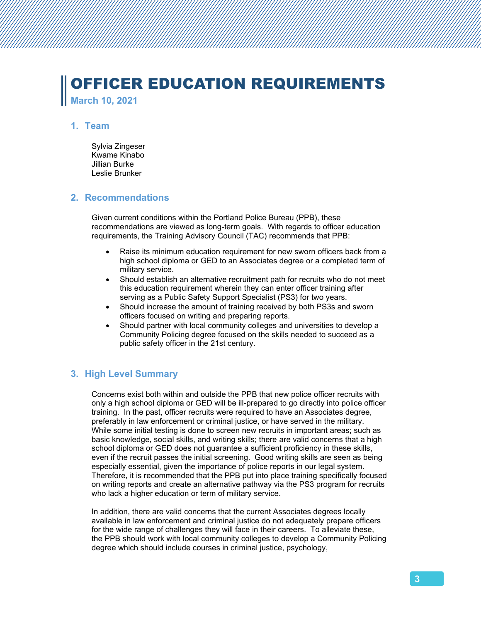# OFFICER EDUCATION REQUIREMENTS **March 10, 2021**

#### <span id="page-5-0"></span>**1. Team**

Sylvia Zingeser Kwame Kinabo Jillian Burke Leslie Brunker

#### <span id="page-5-1"></span>**2. Recommendations**

Given current conditions within the Portland Police Bureau (PPB), these recommendations are viewed as long-term goals. With regards to officer education requirements, the Training Advisory Council (TAC) recommends that PPB:

- Raise its minimum education requirement for new sworn officers back from a high school diploma or GED to an Associates degree or a completed term of military service.
- Should establish an alternative recruitment path for recruits who do not meet this education requirement wherein they can enter officer training after serving as a Public Safety Support Specialist (PS3) for two years.
- Should increase the amount of training received by both PS3s and sworn officers focused on writing and preparing reports.
- Should partner with local community colleges and universities to develop a Community Policing degree focused on the skills needed to succeed as a public safety officer in the 21st century.

## <span id="page-5-2"></span>**3. High Level Summary**

Concerns exist both within and outside the PPB that new police officer recruits with only a high school diploma or GED will be ill-prepared to go directly into police officer training. In the past, officer recruits were required to have an Associates degree, preferably in law enforcement or criminal justice, or have served in the military. While some initial testing is done to screen new recruits in important areas; such as basic knowledge, social skills, and writing skills; there are valid concerns that a high school diploma or GED does not guarantee a sufficient proficiency in these skills, even if the recruit passes the initial screening. Good writing skills are seen as being especially essential, given the importance of police reports in our legal system. Therefore, it is recommended that the PPB put into place training specifically focused on writing reports and create an alternative pathway via the PS3 program for recruits who lack a higher education or term of military service.

In addition, there are valid concerns that the current Associates degrees locally available in law enforcement and criminal justice do not adequately prepare officers for the wide range of challenges they will face in their careers. To alleviate these, the PPB should work with local community colleges to develop a Community Policing degree which should include courses in criminal justice, psychology,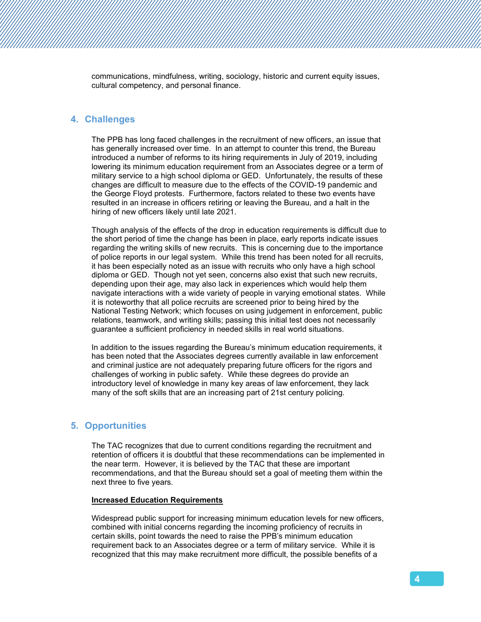communications, mindfulness, writing, sociology, historic and current equity issues, cultural competency, and personal finance.

#### <span id="page-6-0"></span>**4. Challenges**

The PPB has long faced challenges in the recruitment of new officers, an issue that has generally increased over time. In an attempt to counter this trend, the Bureau introduced a number of reforms to its hiring requirements in July of 2019, including lowering its minimum education requirement from an Associates degree or a term of military service to a high school diploma or GED. Unfortunately, the results of these changes are difficult to measure due to the effects of the COVID-19 pandemic and the George Floyd protests. Furthermore, factors related to these two events have resulted in an increase in officers retiring or leaving the Bureau, and a halt in the hiring of new officers likely until late 2021.

Though analysis of the effects of the drop in education requirements is difficult due to the short period of time the change has been in place, early reports indicate issues regarding the writing skills of new recruits. This is concerning due to the importance of police reports in our legal system. While this trend has been noted for all recruits, it has been especially noted as an issue with recruits who only have a high school diploma or GED. Though not yet seen, concerns also exist that such new recruits, depending upon their age, may also lack in experiences which would help them navigate interactions with a wide variety of people in varying emotional states. While it is noteworthy that all police recruits are screened prior to being hired by the National Testing Network; which focuses on using judgement in enforcement, public relations, teamwork, and writing skills; passing this initial test does not necessarily guarantee a sufficient proficiency in needed skills in real world situations.

In addition to the issues regarding the Bureau's minimum education requirements, it has been noted that the Associates degrees currently available in law enforcement and criminal justice are not adequately preparing future officers for the rigors and challenges of working in public safety. While these degrees do provide an introductory level of knowledge in many key areas of law enforcement, they lack many of the soft skills that are an increasing part of 21st century policing.

### <span id="page-6-1"></span>**5. Opportunities**

The TAC recognizes that due to current conditions regarding the recruitment and retention of officers it is doubtful that these recommendations can be implemented in the near term. However, it is believed by the TAC that these are important recommendations, and that the Bureau should set a goal of meeting them within the next three to five years.

#### **Increased Education Requirements**

Widespread public support for increasing minimum education levels for new officers, combined with initial concerns regarding the incoming proficiency of recruits in certain skills, point towards the need to raise the PPB's minimum education requirement back to an Associates degree or a term of military service. While it is recognized that this may make recruitment more difficult, the possible benefits of a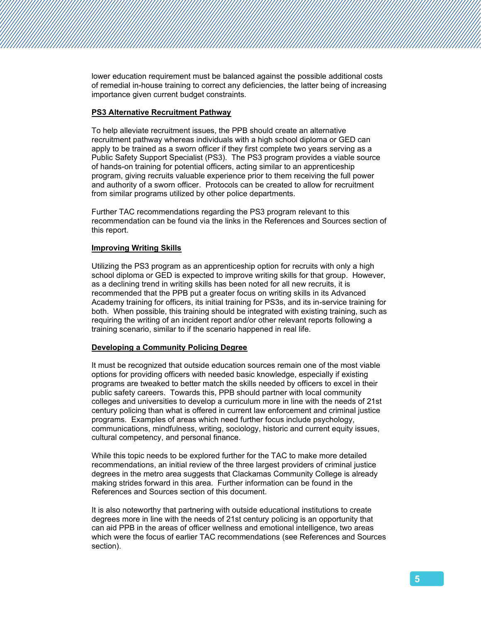lower education requirement must be balanced against the possible additional costs of remedial in-house training to correct any deficiencies, the latter being of increasing importance given current budget constraints.

#### **PS3 Alternative Recruitment Pathway**

To help alleviate recruitment issues, the PPB should create an alternative recruitment pathway whereas individuals with a high school diploma or GED can apply to be trained as a sworn officer if they first complete two years serving as a Public Safety Support Specialist (PS3). The PS3 program provides a viable source of hands-on training for potential officers, acting similar to an apprenticeship program, giving recruits valuable experience prior to them receiving the full power and authority of a sworn officer. Protocols can be created to allow for recruitment from similar programs utilized by other police departments.

Further TAC recommendations regarding the PS3 program relevant to this recommendation can be found via the links in the References and Sources section of this report.

#### **Improving Writing Skills**

Utilizing the PS3 program as an apprenticeship option for recruits with only a high school diploma or GED is expected to improve writing skills for that group. However, as a declining trend in writing skills has been noted for all new recruits, it is recommended that the PPB put a greater focus on writing skills in its Advanced Academy training for officers, its initial training for PS3s, and its in-service training for both. When possible, this training should be integrated with existing training, such as requiring the writing of an incident report and/or other relevant reports following a training scenario, similar to if the scenario happened in real life.

#### **Developing a Community Policing Degree**

It must be recognized that outside education sources remain one of the most viable options for providing officers with needed basic knowledge, especially if existing programs are tweaked to better match the skills needed by officers to excel in their public safety careers. Towards this, PPB should partner with local community colleges and universities to develop a curriculum more in line with the needs of 21st century policing than what is offered in current law enforcement and criminal justice programs. Examples of areas which need further focus include psychology, communications, mindfulness, writing, sociology, historic and current equity issues, cultural competency, and personal finance.

While this topic needs to be explored further for the TAC to make more detailed recommendations, an initial review of the three largest providers of criminal justice degrees in the metro area suggests that Clackamas Community College is already making strides forward in this area. Further information can be found in the References and Sources section of this document.

It is also noteworthy that partnering with outside educational institutions to create degrees more in line with the needs of 21st century policing is an opportunity that can aid PPB in the areas of officer wellness and emotional intelligence, two areas which were the focus of earlier TAC recommendations (see References and Sources section).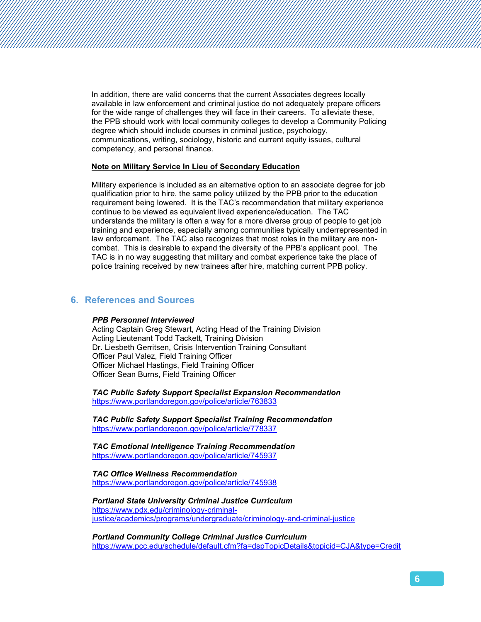In addition, there are valid concerns that the current Associates degrees locally available in law enforcement and criminal justice do not adequately prepare officers for the wide range of challenges they will face in their careers. To alleviate these, the PPB should work with local community colleges to develop a Community Policing degree which should include courses in criminal justice, psychology, communications, writing, sociology, historic and current equity issues, cultural competency, and personal finance.

#### **Note on Military Service In Lieu of Secondary Education**

Military experience is included as an alternative option to an associate degree for job qualification prior to hire, the same policy utilized by the PPB prior to the education requirement being lowered. It is the TAC's recommendation that military experience continue to be viewed as equivalent lived experience/education. The TAC understands the military is often a way for a more diverse group of people to get job training and experience, especially among communities typically underrepresented in law enforcement. The TAC also recognizes that most roles in the military are noncombat. This is desirable to expand the diversity of the PPB's applicant pool. The TAC is in no way suggesting that military and combat experience take the place of police training received by new trainees after hire, matching current PPB policy.

### <span id="page-8-0"></span>**6. References and Sources**

#### *PPB Personnel Interviewed*

Acting Captain Greg Stewart, Acting Head of the Training Division Acting Lieutenant Todd Tackett, Training Division Dr. Liesbeth Gerritsen, Crisis Intervention Training Consultant Officer Paul Valez, Field Training Officer Officer Michael Hastings, Field Training Officer Officer Sean Burns, Field Training Officer

*TAC Public Safety Support Specialist Expansion Recommendation* <https://www.portlandoregon.gov/police/article/763833>

*TAC Public Safety Support Specialist Training Recommendation* <https://www.portlandoregon.gov/police/article/778337>

*TAC Emotional Intelligence Training Recommendation* <https://www.portlandoregon.gov/police/article/745937>

*TAC Office Wellness Recommendation* <https://www.portlandoregon.gov/police/article/745938>

*Portland State University Criminal Justice Curriculum* [https://www.pdx.edu/criminology-criminal](https://www.pdx.edu/criminology-criminal-justice/academics/programs/undergraduate/criminology-and-criminal-justice)[justice/academics/programs/undergraduate/criminology-and-criminal-justice](https://www.pdx.edu/criminology-criminal-justice/academics/programs/undergraduate/criminology-and-criminal-justice)

*Portland Community College Criminal Justice Curriculum* <https://www.pcc.edu/schedule/default.cfm?fa=dspTopicDetails&topicid=CJA&type=Credit>